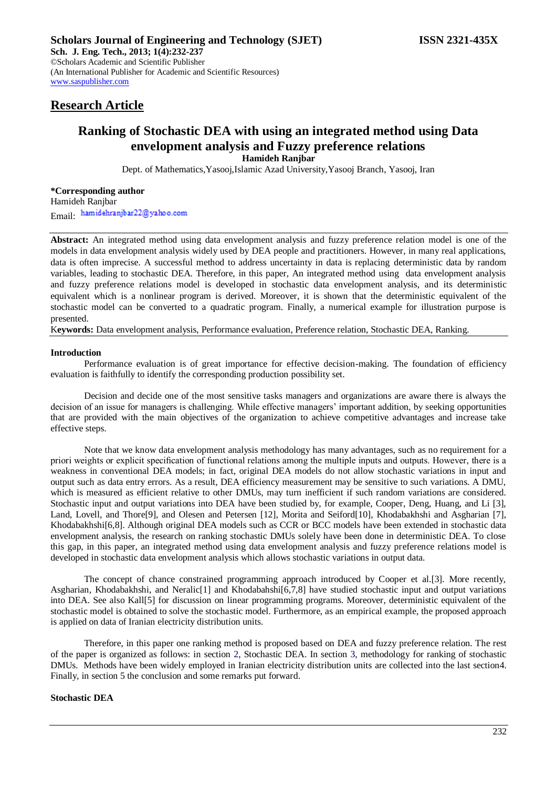# **Research Article**

## **Ranking of Stochastic DEA with using an integrated method using Data envelopment analysis and Fuzzy preference relations Hamideh Ranjbar**

Dept. of Mathematics,Yasooj,Islamic Azad University,Yasooj Branch, Yasooj, Iran

**\*Corresponding author** Hamideh Ranjbar Email: hamidehranjbar22@yahoo.com

**Abstract:** An integrated method using data envelopment analysis and fuzzy preference relation model is one of the models in data envelopment analysis widely used by DEA people and practitioners. However, in many real applications, data is often imprecise. A successful method to address uncertainty in data is replacing deterministic data by random variables, leading to stochastic DEA. Therefore, in this paper, An integrated method using data envelopment analysis and fuzzy preference relations model is developed in stochastic data envelopment analysis, and its deterministic equivalent which is a nonlinear program is derived. Moreover, it is shown that the deterministic equivalent of the stochastic model can be converted to a quadratic program. Finally, a numerical example for illustration purpose is presented.

K**eywords:** Data envelopment analysis, Performance evaluation, Preference relation, Stochastic DEA, Ranking.

## **Introduction**

Performance evaluation is of great importance for effective decision-making. The foundation of efficiency evaluation is faithfully to identify the corresponding production possibility set.

Decision and decide one of the most sensitive tasks managers and organizations are aware there is always the decision of an issue for managers is challenging. While effective managers' important addition, by seeking opportunities that are provided with the main objectives of the organization to achieve competitive advantages and increase take effective steps.

Note that we know data envelopment analysis methodology has many advantages, such as no requirement for a priori weights or explicit specification of functional relations among the multiple inputs and outputs. However, there is a weakness in conventional DEA models; in fact, original DEA models do not allow stochastic variations in input and output such as data entry errors. As a result, DEA efficiency measurement may be sensitive to such variations. A DMU, which is measured as efficient relative to other DMUs, may turn inefficient if such random variations are considered. Stochastic input and output variations into DEA have been studied by, for example, Cooper, Deng, Huang, and Li [3], Land, Lovell, and Thore<sup>[9]</sup>, and Olesen and Petersen [12], Morita and Seiford<sup>[10]</sup>, Khodabakhshi and Asgharian [7], Khodabakhshi[6,8]. Although original DEA models such as CCR or BCC models have been extended in stochastic data envelopment analysis, the research on ranking stochastic DMUs solely have been done in deterministic DEA. To close this gap, in this paper, an integrated method using data envelopment analysis and fuzzy preference relations model is developed in stochastic data envelopment analysis which allows stochastic variations in output data.

The concept of chance constrained programming approach introduced by Cooper et al.[3]. More recently, Asgharian, Khodabakhshi, and Neralic[1] and Khodabahshi[6,7,8] have studied stochastic input and output variations into DEA. See also Kall[5] for discussion on linear programming programs. Moreover, deterministic equivalent of the stochastic model is obtained to solve the stochastic model. Furthermore, as an empirical example, the proposed approach is applied on data of Iranian electricity distribution units.

Therefore, in this paper one ranking method is proposed based on DEA and fuzzy preference relation. The rest of the paper is organized as follows: in section 2, Stochastic DEA. In section 3, methodology for ranking of stochastic DMUs. Methods have been widely employed in Iranian electricity distribution units are collected into the last section4. Finally, in section 5 the conclusion and some remarks put forward.

## **Stochastic DEA**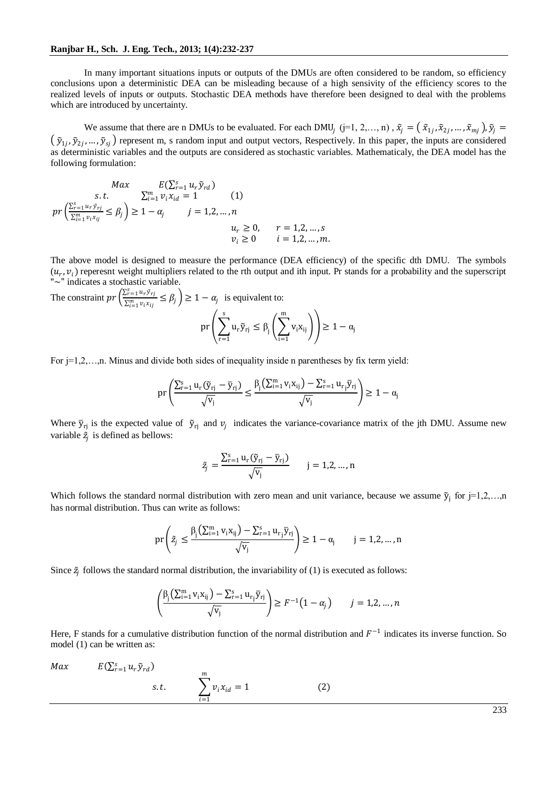In many important situations inputs or outputs of the DMUs are often considered to be random, so efficiency conclusions upon a deterministic DEA can be misleading because of a high sensivity of the efficiency scores to the realized levels of inputs or outputs. Stochastic DEA methods have therefore been designed to deal with the problems which are introduced by uncertainty.

We assume that there are n DMUs to be evaluated. For each DMU<sub>j</sub> (j=1, 2,..., n),  $\tilde{x}_j = (\tilde{x}_{1j}, \tilde{x}_{2j}, ..., \tilde{x}_{mj})$ ,  $\tilde{y}_j =$  $(\tilde{y}_{1j}, \tilde{y}_{2j},..., \tilde{y}_{sj})$  represent m, s random input and output vectors, Respectively. In this paper, the inputs are considered as deterministic variables and the outputs are considered as stochastic variables. Mathematicaly, the DEA model has the following formulation:

$$
Max \t E(\sum_{r=1}^{s} u_r \tilde{y}_{rd})
$$
  
s.t. 
$$
\sum_{i=1}^{m} v_i x_{id} = 1
$$
 (1)  

$$
pr\left(\frac{\sum_{r=1}^{s} u_r \tilde{y}_{rd}}{\sum_{i=1}^{m} v_i x_{ij}} \le \beta_j\right) \ge 1 - \alpha_j
$$
  $j = 1, 2, ..., n$   
 $u_r \ge 0, \t r = 1, 2, ..., s$   
 $v_i \ge 0$   $i = 1, 2, ..., m$ .

The above model is designed to measure the performance (DEA efficiency) of the specific dth DMU. The symbols  $(u_r, v_i)$  reperesnt weight multipliers related to the rth output and ith input. Pr stands for a probability and the superscript "~" indicates a stochastic variable.

The constraint  $pr\left(\frac{\sum_{r=1}^{s} u_r \tilde{y}_{r}}{\sum_{r=1}^{m} u_r \tilde{y}_{r}}\right)$  $\sum_{i=1}^{n} \frac{\alpha_i y_i}{\alpha_i y_i} \leq \beta_j$   $\geq 1 - \alpha_j$  is equivalent to:

$$
pr\left(\sum_{r=1}^s u_r\tilde{y}_{rj}\leq \beta_j\left(\sum_{i=1}^m v_i x_{ij}\right)\right)\geq 1-\alpha_j
$$

For  $j=1,2,...,n$ . Minus and divide both sides of inequality inside n parentheses by fix term yield:

$$
pr\left(\frac{\sum_{r=1}^s u_r(\widetilde{y}_{rj}-\overline{y}_{rj})}{\sqrt{v_j}}\leq \frac{\beta_j\left(\sum_{i=1}^m v_ix_{ij}\right)-\sum_{r=1}^s u_{rj}\overline{y}_{rj}}{\sqrt{v_j}}\right)\geq 1-\alpha_j
$$

Where  $\bar{y}_{rj}$  is the expected value of  $\tilde{y}_{rj}$  and  $v_j$  indicates the variance-covariance matrix of the jth DMU. Assume new variable  $\tilde{z}_j$  is defined as bellows:

$$
\tilde{z}_j = \frac{\sum_{r=1}^{s} u_r (\tilde{y}_{rj} - \bar{y}_{rj})}{\sqrt{v_j}} \qquad j = 1, 2, ..., n
$$

Which follows the standard normal distribution with zero mean and unit variance, because we assume  $\tilde{y}_j$  for  $j=1,2,...,n$ has normal distribution. Thus can write as follows:

$$
pr\left(\tilde{z}_j \leq \frac{\beta_j\left(\sum_{i=1}^m v_i x_{ij}\right) - \sum_{r=1}^s u_{r_j} \overline{y}_{rj}}{\sqrt{v_j}}\right) \geq 1 - \alpha_j \qquad j = 1, 2, ..., n
$$

Since  $\tilde{z}_j$  follows the standard normal distribution, the invariability of (1) is executed as follows:

$$
\left(\frac{\beta_j\left(\sum_{i=1}^m v_i x_{ij}\right) - \sum_{i=1}^s u_{r_j} \overline{y}_{rj}}{\sqrt{v_j}}\right) \ge F^{-1}\left(1 - \alpha_j\right) \qquad j = 1, 2, \dots, n
$$

Here, F stands for a cumulative distribution function of the normal distribution and  $F^{-1}$  indicates its inverse function. So model (1) can be written as:

 $Max \qquad E(\sum_{r=1}^{s} u_r \tilde{y}_{rd})$ s.t.  $\qquad \qquad \sum v_i x_{id}$  $\boldsymbol{m}$  $i=1$  $= 1$  (2)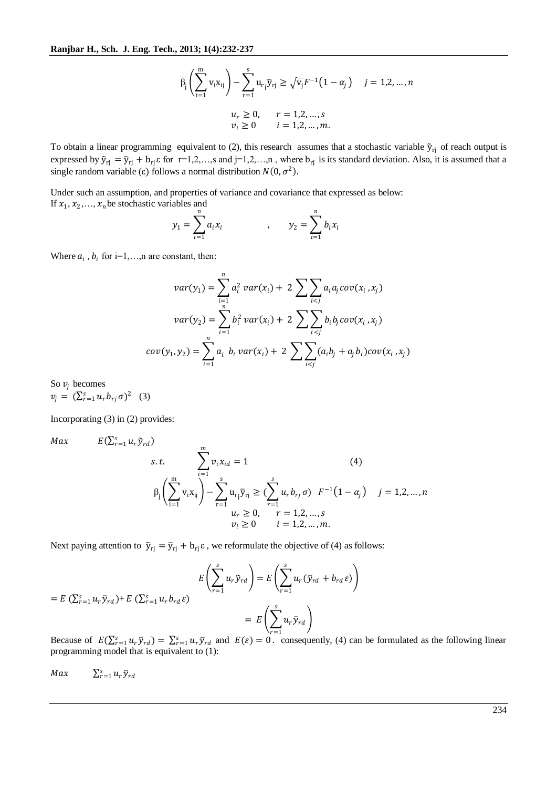$$
\beta_{j} \left( \sum_{i=1}^{m} v_{i} x_{ij} \right) - \sum_{r=1}^{s} u_{rj} \overline{y}_{rj} \geq \sqrt{v_{j}} F^{-1} (1 - \alpha_{j}) \quad j = 1, 2, ..., n
$$
  

$$
u_{r} \geq 0, \quad r = 1, 2, ..., s
$$
  

$$
v_{i} \geq 0 \quad i = 1, 2, ..., m.
$$

To obtain a linear programming equivalent to (2), this research assumes that a stochastic variable  $\tilde{y}_{ri}$  of reach output is expressed by  $\tilde{y}_{rj} = \bar{y}_{rj} + b_{rj} \varepsilon$  for  $r=1,2,...,s$  and  $j=1,2,...,n$ , where  $b_{rj}$  is its standard deviation. Also, it is assumed that a single random variable (ε) follows a normal distribution  $N(0, \sigma^2)$ .

Under such an assumption, and properties of variance and covariance that expressed as below: If  $x_1, x_2, ..., x_n$  be stochastic variables and

$$
y_1 = \sum_{i=1}^n a_i x_i
$$
,  $y_2 = \sum_{i=1}^n b_i x_i$ 

Where  $a_i$ ,  $b_i$  for i=1,..., n are constant, then:

$$
var(y_1) = \sum_{i=1}^{n} a_i^2 var(x_i) + 2 \sum_{i < j} a_i a_j cov(x_i, x_j)
$$
\n
$$
var(y_2) = \sum_{i=1}^{n} b_i^2 var(x_i) + 2 \sum_{i < j} b_i b_j cov(x_i, x_j)
$$
\n
$$
cov(y_1, y_2) = \sum_{i=1}^{n} a_i b_i var(x_i) + 2 \sum_{i < j} (a_i b_j + a_j b_i) cov(x_i, x_j)
$$

So  $v_i$  becomes  $v_j = (\sum_{r=1}^s u_r b_{rj} \sigma)^2$  (3)

 $Max$ 

Incorporating (3) in (2) provides:

$$
E(\sum_{r=1}^{s} u_r \tilde{y}_{rd})
$$
  
s.t. 
$$
\sum_{i=1}^{m} v_i x_{id} = 1
$$
  

$$
\beta_j \left( \sum_{i=1}^{m} v_i x_{ij} \right) - \sum_{r=1}^{s} u_{rj} \overline{y}_{rj} \geq \sum_{r=1}^{s} u_r b_{rj} \sigma \quad F^{-1} (1 - \alpha_j) \quad j = 1, 2, ..., n
$$
  

$$
u_r \geq 0, \quad r = 1, 2, ..., s
$$
  

$$
v_i \geq 0 \quad i = 1, 2, ..., m.
$$

Next paying attention to  $\tilde{y}_{rj} = \bar{y}_{rj} + b_{rj} \varepsilon$ , we reformulate the objective of (4) as follows:

$$
E\left(\sum_{r=1}^{s} u_r \tilde{y}_{rd}\right) = E\left(\sum_{r=1}^{s} u_r \tilde{y}_{rd}\right) = E\left(\sum_{r=1}^{s} u_r (\bar{y}_{rd} + b_{rd} \varepsilon)\right)
$$

$$
= E\left(\sum_{r=1}^{s} u_r \bar{y}_{rd}\right)
$$

$$
= E\left(\sum_{r=1}^{s} u_r \bar{y}_{rd}\right)
$$

Because of  $E(\sum_{r=1}^{s} u_r \bar{y}_{rd}) = \sum_{r=1}^{s} u_r \bar{y}_{rd}$  and  $E(\varepsilon) = 0$ . consequently, (4) can be formulated as the following linear programming model that is equivalent to (1):

 $Max \qquad \sum_{r=1}^{s} u_r \bar{y}_{rd}$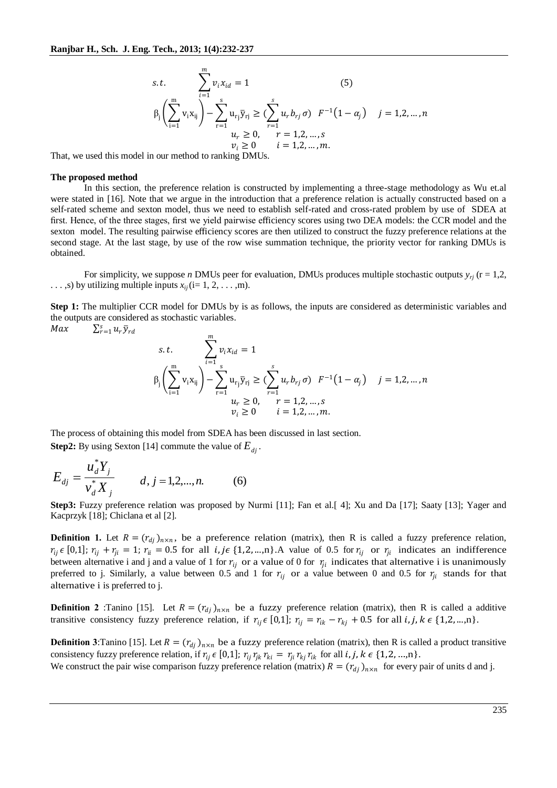s.t. 
$$
\sum_{i=1}^{m} v_i x_{id} = 1
$$
 (5)  

$$
\beta_j \left( \sum_{i=1}^{m} v_i x_{ij} \right) - \sum_{r=1}^{s} u_{rj} \overline{y}_{rj} \ge \left( \sum_{r=1}^{s} u_r b_{rj} \sigma \right) F^{-1} (1 - \alpha_j) \quad j = 1, 2, ..., n
$$
  
 $u_r \ge 0, \quad r = 1, 2, ..., s$   
 $v_i \ge 0 \quad i = 1, 2, ..., m.$ 

That, we used this model in our method to ranking DMUs.

#### **The proposed method**

In this section, the preference relation is constructed by implementing a three-stage methodology as Wu et.al were stated in [16]. Note that we argue in the introduction that a preference relation is actually constructed based on a self-rated scheme and sexton model, thus we need to establish self-rated and cross-rated problem by use of SDEA at first. Hence, of the three stages, first we yield pairwise efficiency scores using two DEA models: the CCR model and the sexton model. The resulting pairwise efficiency scores are then utilized to construct the fuzzy preference relations at the second stage. At the last stage, by use of the row wise summation technique, the priority vector for ranking DMUs is obtained.

For simplicity, we suppose *n* DMUs peer for evaluation, DMUs produces multiple stochastic outputs  $y_{ri}$  (r = 1,2,  $\dots$ , s) by utilizing multiple inputs  $x_{ii}$  (i= 1, 2,  $\dots$ , m).

**Step 1:** The multiplier CCR model for DMUs by is as follows, the inputs are considered as deterministic variables and the outputs are considered as stochastic variables.

$$
Max \qquad \sum_{r=1}^{s} u_r \bar{y}_{rd}
$$

s.t. 
$$
\sum_{i=1}^{m} v_i x_{id} = 1
$$

$$
\beta_j \left( \sum_{i=1}^{m} v_i x_{ij} \right) - \sum_{r=1}^{s} u_{rj} \overline{y}_{rj} \geq \sum_{r=1}^{s} u_r b_{rj} \sigma \quad F^{-1} (1 - \alpha_j) \quad j = 1, 2, ..., n
$$

$$
u_r \geq 0, \quad r = 1, 2, ..., s
$$

$$
v_i \geq 0 \quad i = 1, 2, ..., m.
$$

The process of obtaining this model from SDEA has been discussed in last section. **Step2:** By using Sexton [14] commute the value of *Edj* .

$$
E_{dj} = \frac{u_d^* Y_j}{v_d^* X_j} \qquad d, j = 1, 2, \dots, n. \tag{6}
$$

**Step3:** Fuzzy preference relation was proposed by Nurmi [11]; Fan et al.[ 4]; Xu and Da [17]; Saaty [13]; Yager and Kacprzyk [18]; Chiclana et al [2].

**Definition 1.** Let  $R = (r_{dj})_{n \times n}$ , be a preference relation (matrix), then R is called a fuzzy preference relation,  $r_{ij} \in [0,1]$ ;  $r_{ij} + r_{ji} = 1$ ;  $r_{ii} = 0.5$  for all  $i, j \in \{1,2,...,n\}$ . A value of 0.5 for  $r_{ij}$  or  $r_{ji}$  indicates an indifference between alternative i and j and a value of 1 for  $r_{ij}$  or a value of 0 for  $r_{ji}$  indicates that alternative i is unanimously preferred to j. Similarly, a value between 0.5 and 1 for  $r_{ij}$  or a value between 0 and 0.5 for  $r_{ji}$  stands for that alternative i is preferred to j.

**Definition 2** :Tanino [15]. Let  $R = (r_{dj})_{n \times n}$  be a fuzzy preference relation (matrix), then R is called a additive transitive consistency fuzzy preference relation, if  $r_{ij} \in [0,1]$ ;  $r_{ij} = r_{ik} - r_{kj} + 0.5$  for all  $i, j, k \in \{1,2,...,n\}$ .

**Definition 3**: Tanino [15]. Let  $R = (r_{dj})_{n \times n}$  be a fuzzy preference relation (matrix), then R is called a product transitive consistency fuzzy preference relation, if  $r_{ij} \in [0,1]$ ;  $r_{ij} r_{jk} r_{ki} = r_{ji} r_{kj} r_{ik}$  for all  $i, j, k \in \{1,2,...,n\}$ .

We construct the pair wise comparison fuzzy preference relation (matrix)  $R = (r_{dj})_{n \times n}$  for every pair of units d and j.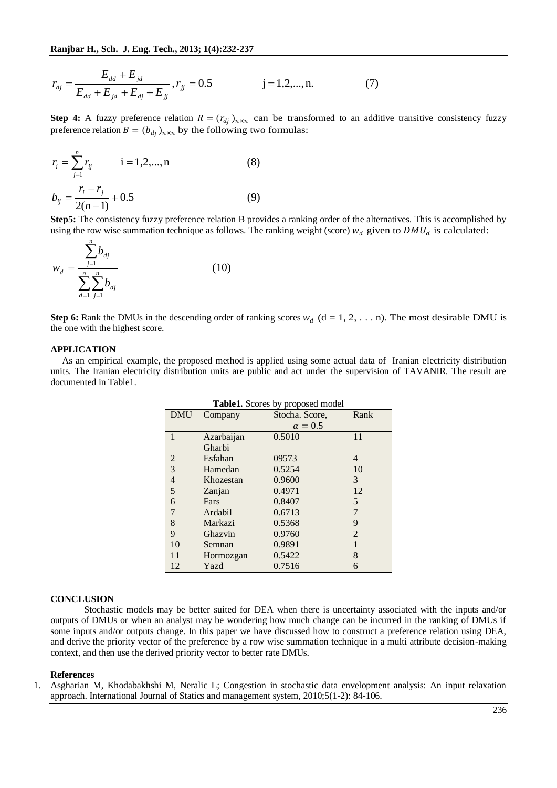$$
r_{dj} = \frac{E_{dd} + E_{jd}}{E_{dd} + E_{jd} + E_{dj} + E_{jj}}, r_{jj} = 0.5 \t j = 1, 2, ..., n. \t(7)
$$

**Step 4:** A fuzzy preference relation  $R = (r_{dj})_{n \times n}$  can be transformed to an additive transitive consistency fuzzy preference relation  $B = (b_{dj})_{n \times n}$  by the following two formulas:

$$
r_{i} = \sum_{j=1}^{n} r_{ij} \qquad i = 1, 2, ..., n \qquad (8)
$$
  

$$
b_{ij} = \frac{r_{i} - r_{j}}{2(n-1)} + 0.5 \qquad (9)
$$

**Step5:** The consistency fuzzy preference relation B provides a ranking order of the alternatives. This is accomplished by using the row wise summation technique as follows. The ranking weight (score)  $w_d$  given to  $DMU_d$  is calculated:

$$
w_d = \frac{\sum_{j=1}^{n} b_{dj}}{\sum_{d=1}^{n} \sum_{j=1}^{n} b_{dj}}
$$
 (10)

**Step 6:** Rank the DMUs in the descending order of ranking scores  $w_d$  ( $d = 1, 2, \ldots$  n). The most desirable DMU is the one with the highest score.

#### **APPLICATION**

As an empirical example, the proposed method is applied using some actual data of Iranian electricity distribution units. The Iranian electricity distribution units are public and act under the supervision of TAVANIR. The result are documented in Table1.

| <b>Table1.</b> Scores by proposed model |            |                |                |
|-----------------------------------------|------------|----------------|----------------|
| <b>DMU</b>                              | Company    | Stocha. Score. | Rank           |
|                                         |            | $\alpha = 0.5$ |                |
| 1                                       | Azarbaijan | 0.5010         | 11             |
|                                         | Gharbi     |                |                |
| $\overline{2}$                          | Esfahan    | 09573          | 4              |
| 3                                       | Hamedan    | 0.5254         | 10             |
| $\overline{4}$                          | Khozestan  | 0.9600         | 3              |
| 5                                       | Zanjan     | 0.4971         | 12             |
| 6                                       | Fars       | 0.8407         | 5              |
| 7                                       | Ardabil    | 0.6713         | 7              |
| 8                                       | Markazi    | 0.5368         | 9              |
| 9                                       | Ghazvin    | 0.9760         | $\overline{2}$ |
| 10                                      | Semnan     | 0.9891         |                |
| 11                                      | Hormozgan  | 0.5422         | 8              |
| 12                                      | Yazd       | 0.7516         | 6              |

## **CONCLUSION**

Stochastic models may be better suited for DEA when there is uncertainty associated with the inputs and/or outputs of DMUs or when an analyst may be wondering how much change can be incurred in the ranking of DMUs if some inputs and/or outputs change. In this paper we have discussed how to construct a preference relation using DEA, and derive the priority vector of the preference by a row wise summation technique in a multi attribute decision-making context, and then use the derived priority vector to better rate DMUs.

### **References**

1. Asgharian M, Khodabakhshi M, Neralic L; Congestion in stochastic data envelopment analysis: An input relaxation approach. International Journal of Statics and management system, 2010;5(1-2): 84-106.